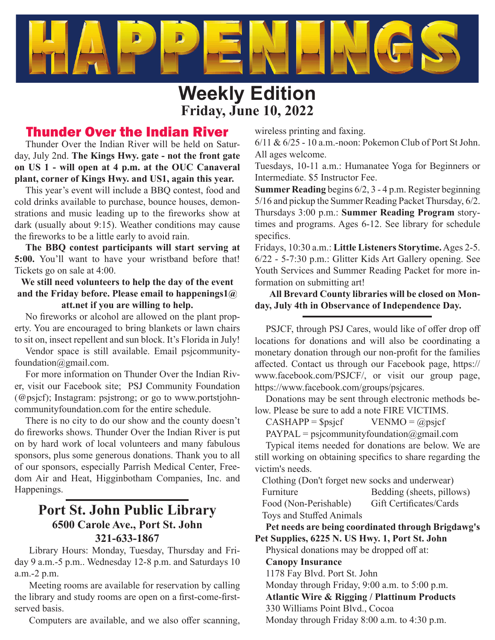

# **Weekly Edition Friday, June 10, 2022**

## Thunder Over the Indian River

Thunder Over the Indian River will be held on Saturday, July 2nd. **The Kings Hwy. gate - not the front gate on US 1 - will open at 4 p.m. at the OUC Canaveral plant, corner of Kings Hwy. and US1, again this year.**

This year's event will include a BBQ contest, food and cold drinks available to purchase, bounce houses, demonstrations and music leading up to the fireworks show at dark (usually about 9:15). Weather conditions may cause the fireworks to be a little early to avoid rain.

**The BBQ contest participants will start serving at 5:00.** You'll want to have your wristband before that! Tickets go on sale at 4:00.

### **We still need volunteers to help the day of the event and the Friday before. Please email to happenings1@ att.net if you are willing to help.**

No fireworks or alcohol are allowed on the plant property. You are encouraged to bring blankets or lawn chairs to sit on, insect repellent and sun block. It's Florida in July!

Vendor space is still available. Email psjcommunityfoundation@gmail.com.

For more information on Thunder Over the Indian River, visit our Facebook site; PSJ Community Foundation (@psjcf); Instagram: psjstrong; or go to www.portstjohncommunityfoundation.com for the entire schedule.

There is no city to do our show and the county doesn't do fireworks shows. Thunder Over the Indian River is put on by hard work of local volunteers and many fabulous sponsors, plus some generous donations. Thank you to all of our sponsors, especially Parrish Medical Center, Freedom Air and Heat, Higginbotham Companies, Inc. and Happenings.

## **Port St. John Public Library 6500 Carole Ave., Port St. John 321-633-1867**

Library Hours: Monday, Tuesday, Thursday and Friday 9 a.m.-5 p.m.. Wednesday 12-8 p.m. and Saturdays 10 a.m.-2 p.m.

Meeting rooms are available for reservation by calling the library and study rooms are open on a first-come-firstserved basis.

Computers are available, and we also offer scanning,

wireless printing and faxing.

6/11 & 6/25 - 10 a.m.-noon: Pokemon Club of Port St John. All ages welcome.

Tuesdays, 10-11 a.m.: Humanatee Yoga for Beginners or Intermediate. \$5 Instructor Fee.

**Summer Reading** begins 6/2, 3 - 4 p.m. Register beginning 5/16 and pickup the Summer Reading Packet Thursday, 6/2. Thursdays 3:00 p.m.: **Summer Reading Program** storytimes and programs. Ages 6-12. See library for schedule specifics.

Fridays, 10:30 a.m.: **Little Listeners Storytime.** Ages 2-5. 6/22 - 5-7:30 p.m.: Glitter Kids Art Gallery opening. See Youth Services and Summer Reading Packet for more information on submitting art!

### **All Brevard County libraries will be closed on Monday, July 4th in Observance of Independence Day.**

PSJCF, through PSJ Cares, would like of offer drop off locations for donations and will also be coordinating a monetary donation through our non-profit for the families affected. Contact us through our Facebook page, https:// www.facebook.com/PSJCF/, or visit our group page, https://www.facebook.com/groups/psjcares.

Donations may be sent through electronic methods below. Please be sure to add a note FIRE VICTIMS.

 $CASHAPP = $psjcf$  VENMO = @psjcf

 $PAYPAL = psicommunity foundation(ægmail.com)$ 

Typical items needed for donations are below. We are still working on obtaining specifics to share regarding the victim's needs.

Clothing (Don't forget new socks and underwear)

Furniture Bedding (sheets, pillows)

Food (Non-Perishable) Gift Certificates/Cards Toys and Stuffed Animals

**Pet needs are being coordinated through Brigdawg's Pet Supplies, 6225 N. US Hwy. 1, Port St. John**

Physical donations may be dropped off at:

**Canopy Insurance**

1178 Fay Blvd. Port St. John

Monday through Friday, 9:00 a.m. to 5:00 p.m.

**Atlantic Wire & Rigging / Plattinum Products**

330 Williams Point Blvd., Cocoa

Monday through Friday 8:00 a.m. to 4:30 p.m.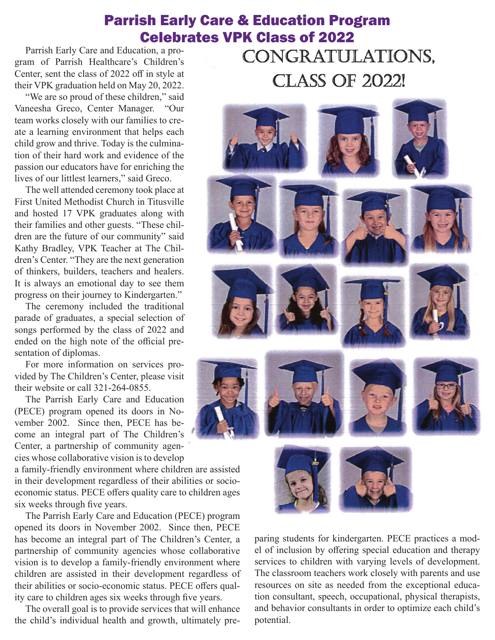## Parrish Early Care & Education Program Celebrates VPK Class of 2022

Parrish Early Care and Education, a program of Parrish Healthcare's Children's Center, sent the class of 2022 off in style at their VPK graduation held on May 20, 2022.

"We are so proud of these children," said Vaneesha Greco, Center Manager. "Our team works closely with our families to create a learning environment that helps each child grow and thrive. Today is the culmination of their hard work and evidence of the passion our educators have for enriching the lives of our littlest learners," said Greco.

The well attended ceremony took place at First United Methodist Church in Titusville and hosted 17 VPK graduates along with their families and other guests. "These children are the future of our community" said Kathy Bradley, VPK Teacher at The Children's Center. "They are the next generation of thinkers, builders, teachers and healers. It is always an emotional day to see them progress on their journey to Kindergarten."

The ceremony included the traditional parade of graduates, a special selection of songs performed by the class of 2022 and ended on the high note of the official presentation of diplomas.

For more information on services provided by The Children's Center, please visit their website or call 321-264-0855.

The Parrish Early Care and Education (PECE) program opened its doors in November 2002. Since then, PECE has become an integral part of The Children's Center, a partnership of community agencies whose collaborative vision is to develop

a family-friendly environment where children are assisted in their development regardless of their abilities or socioeconomic status. PECE offers quality care to children ages six weeks through five years.

The Parrish Early Care and Education (PECE) program opened its doors in November 2002. Since then, PECE has become an integral part of The Children's Center, a partnership of community agencies whose collaborative vision is to develop a family-friendly environment where children are assisted in their development regardless of their abilities or socio-economic status. PECE offers quality care to children ages six weeks through five years.

The overall goal is to provide services that will enhance the child's individual health and growth, ultimately pre-

CONGRATULATIONS, **CLASS OF 2022!** 



paring students for kindergarten. PECE practices a model of inclusion by offering special education and therapy services to children with varying levels of development. The classroom teachers work closely with parents and use resources on site as needed from the exceptional education consultant, speech, occupational, physical therapists, and behavior consultants in order to optimize each child's potential.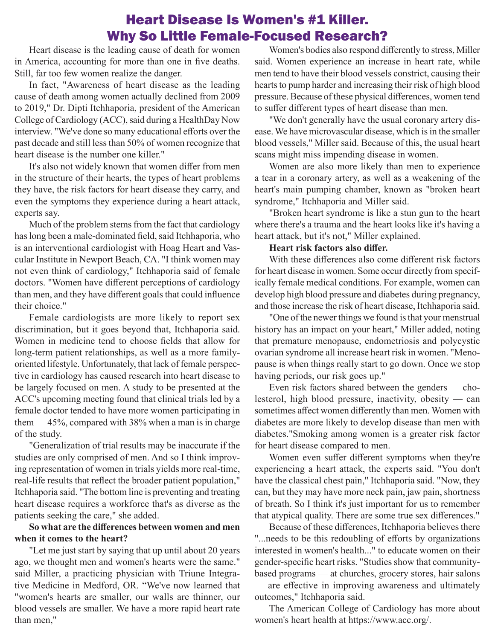## Heart Disease Is Women's #1 Killer. Why So Little Female-Focused Research?

Heart disease is the leading cause of death for women in America, accounting for more than one in five deaths. Still, far too few women realize the danger.

In fact, "Awareness of heart disease as the leading cause of death among women actually declined from 2009 to 2019," Dr. Dipti Itchhaporia, president of the American College of Cardiology (ACC), said during a HealthDay Now interview. "We've done so many educational efforts over the past decade and still less than 50% of women recognize that heart disease is the number one killer."

It's also not widely known that women differ from men in the structure of their hearts, the types of heart problems they have, the risk factors for heart disease they carry, and even the symptoms they experience during a heart attack, experts say.

Much of the problem stems from the fact that cardiology has long been a male-dominated field, said Itchhaporia, who is an interventional cardiologist with Hoag Heart and Vascular Institute in Newport Beach, CA. "I think women may not even think of cardiology," Itchhaporia said of female doctors. "Women have different perceptions of cardiology than men, and they have different goals that could influence their choice."

Female cardiologists are more likely to report sex discrimination, but it goes beyond that, Itchhaporia said. Women in medicine tend to choose fields that allow for long-term patient relationships, as well as a more familyoriented lifestyle. Unfortunately, that lack of female perspective in cardiology has caused research into heart disease to be largely focused on men. A study to be presented at the ACC's upcoming meeting found that clinical trials led by a female doctor tended to have more women participating in them — 45%, compared with 38% when a man is in charge of the study.

"Generalization of trial results may be inaccurate if the studies are only comprised of men. And so I think improving representation of women in trials yields more real-time, real-life results that reflect the broader patient population," Itchhaporia said. "The bottom line is preventing and treating heart disease requires a workforce that's as diverse as the patients seeking the care," she added.

### **So what are the diff erences between women and men when it comes to the heart?**

"Let me just start by saying that up until about 20 years ago, we thought men and women's hearts were the same." said Miller, a practicing physician with Triune Integrative Medicine in Medford, OR. "We've now learned that "women's hearts are smaller, our walls are thinner, our blood vessels are smaller. We have a more rapid heart rate than men,"

Women's bodies also respond differently to stress, Miller said. Women experience an increase in heart rate, while men tend to have their blood vessels constrict, causing their hearts to pump harder and increasing their risk of high blood pressure. Because of these physical differences, women tend to suffer different types of heart disease than men.

"We don't generally have the usual coronary artery disease. We have microvascular disease, which is in the smaller blood vessels," Miller said. Because of this, the usual heart scans might miss impending disease in women.

Women are also more likely than men to experience a tear in a coronary artery, as well as a weakening of the heart's main pumping chamber, known as "broken heart syndrome," Itchhaporia and Miller said.

"Broken heart syndrome is like a stun gun to the heart where there's a trauma and the heart looks like it's having a heart attack, but it's not," Miller explained.

#### **Heart risk factors also differ.**

With these differences also come different risk factors for heart disease in women. Some occur directly from specifically female medical conditions. For example, women can develop high blood pressure and diabetes during pregnancy, and those increase the risk of heart disease, Itchhaporia said.

"One of the newer things we found is that your menstrual history has an impact on your heart," Miller added, noting that premature menopause, endometriosis and polycystic ovarian syndrome all increase heart risk in women. "Menopause is when things really start to go down. Once we stop having periods, our risk goes up."

Even risk factors shared between the genders — cholesterol, high blood pressure, inactivity, obesity — can sometimes affect women differently than men. Women with diabetes are more likely to develop disease than men with diabetes."Smoking among women is a greater risk factor for heart disease compared to men.

Women even suffer different symptoms when they're experiencing a heart attack, the experts said. "You don't have the classical chest pain," Itchhaporia said. "Now, they can, but they may have more neck pain, jaw pain, shortness of breath. So I think it's just important for us to remember that atypical quality. There are some true sex differences."

Because of these differences, Itchhaporia believes there "...needs to be this redoubling of efforts by organizations interested in women's health..." to educate women on their gender-specific heart risks. "Studies show that communitybased programs — at churches, grocery stores, hair salons — are effective in improving awareness and ultimately outcomes," Itchhaporia said.

The American College of Cardiology has more about women's heart health at https://www.acc.org/.